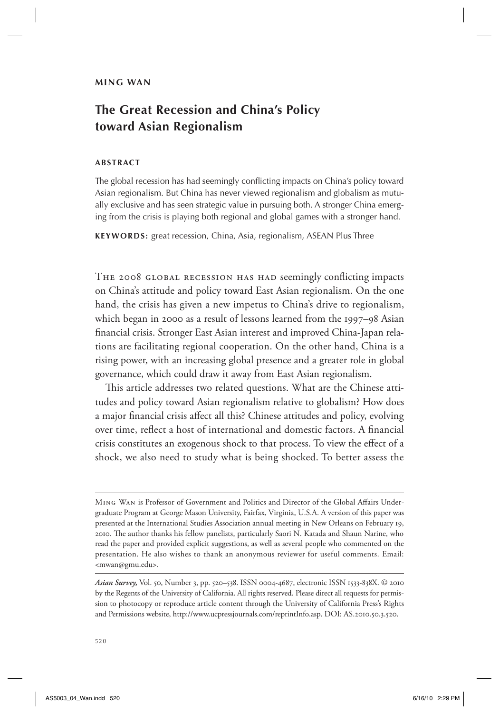# **The Great Recession and China's Policy toward Asian Regionalism**

### **ABSTRACT**

The global recession has had seemingly conflicting impacts on China's policy toward Asian regionalism. But China has never viewed regionalism and globalism as mutually exclusive and has seen strategic value in pursuing both. A stronger China emerging from the crisis is playing both regional and global games with a stronger hand.

**KEYWORDS:** great recession, China, Asia, regionalism, ASEAN Plus Three

THE 2008 GLOBAL RECESSION HAS HAD seemingly conflicting impacts on China's attitude and policy toward East Asian regionalism. On the one hand, the crisis has given a new impetus to China's drive to regionalism, which began in 2000 as a result of lessons learned from the 1997–98 Asian financial crisis. Stronger East Asian interest and improved China-Japan relations are facilitating regional cooperation. On the other hand, China is a rising power, with an increasing global presence and a greater role in global governance, which could draw it away from East Asian regionalism.

This article addresses two related questions. What are the Chinese attitudes and policy toward Asian regionalism relative to globalism? How does a major financial crisis affect all this? Chinese attitudes and policy, evolving over time, reflect a host of international and domestic factors. A financial crisis constitutes an exogenous shock to that process. To view the effect of a shock, we also need to study what is being shocked. To better assess the

Ming Wan is Professor of Government and Politics and Director of the Global Affairs Undergraduate Program at George Mason University, Fairfax, Virginia, U.S.A. A version of this paper was presented at the International Studies Association annual meeting in New Orleans on February 19, 2010. The author thanks his fellow panelists, particularly Saori N. Katada and Shaun Narine, who read the paper and provided explicit suggestions, as well as several people who commented on the presentation. He also wishes to thank an anonymous reviewer for useful comments. Email: <mwan@gmu.edu>.

*Asian Survey,* Vol. 50, Number 3, pp. 520–538. ISSN 0004-4687, electronic ISSN 1533-838X. © 2010 by the Regents of the University of California. All rights reserved. Please direct all requests for permission to photocopy or reproduce article content through the University of California Press's Rights and Permissions website, http://www.ucpressjournals.com/reprintInfo.asp. DOI: AS.2010.50.3.520.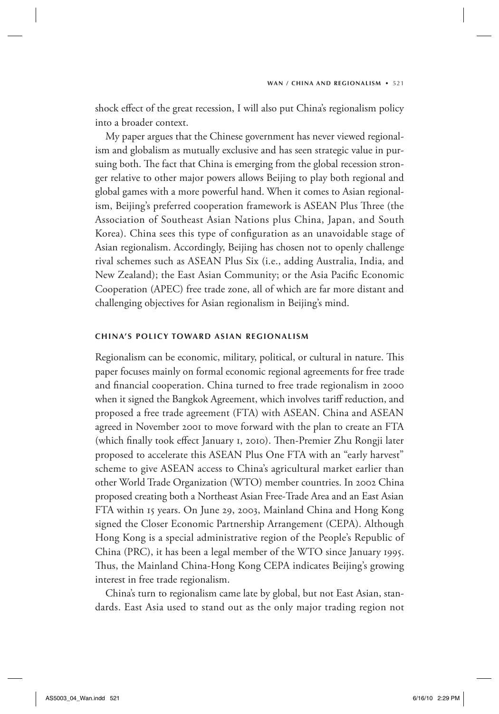shock effect of the great recession, I will also put China's regionalism policy into a broader context.

My paper argues that the Chinese government has never viewed regionalism and globalism as mutually exclusive and has seen strategic value in pursuing both. The fact that China is emerging from the global recession stronger relative to other major powers allows Beijing to play both regional and global games with a more powerful hand. When it comes to Asian regionalism, Beijing's preferred cooperation framework is ASEAN Plus Three (the Association of Southeast Asian Nations plus China, Japan, and South Korea). China sees this type of configuration as an unavoidable stage of Asian regionalism. Accordingly, Beijing has chosen not to openly challenge rival schemes such as ASEAN Plus Six (i.e., adding Australia, India, and New Zealand); the East Asian Community; or the Asia Pacific Economic Cooperation (APEC) free trade zone, all of which are far more distant and challenging objectives for Asian regionalism in Beijing's mind.

# **CHINA'S POLICY TOWARD ASIAN REGIONALISM**

Regionalism can be economic, military, political, or cultural in nature. This paper focuses mainly on formal economic regional agreements for free trade and financial cooperation. China turned to free trade regionalism in 2000 when it signed the Bangkok Agreement, which involves tariff reduction, and proposed a free trade agreement (FTA) with ASEAN. China and ASEAN agreed in November 2001 to move forward with the plan to create an FTA (which finally took effect January 1, 2010). Then-Premier Zhu Rongji later proposed to accelerate this ASEAN Plus One FTA with an "early harvest" scheme to give ASEAN access to China's agricultural market earlier than other World Trade Organization (WTO) member countries. In 2002 China proposed creating both a Northeast Asian Free-Trade Area and an East Asian FTA within 15 years. On June 29, 2003, Mainland China and Hong Kong signed the Closer Economic Partnership Arrangement (CEPA). Although Hong Kong is a special administrative region of the People's Republic of China (PRC), it has been a legal member of the WTO since January 1995. Thus, the Mainland China-Hong Kong CEPA indicates Beijing's growing interest in free trade regionalism.

China's turn to regionalism came late by global, but not East Asian, standards. East Asia used to stand out as the only major trading region not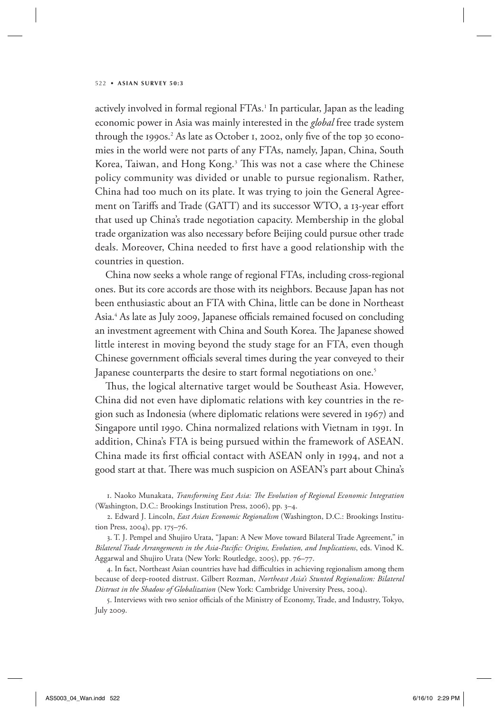actively involved in formal regional FTAs.<sup>1</sup> In particular, Japan as the leading economic power in Asia was mainly interested in the *global* free trade system through the 1990s.<sup>2</sup> As late as October 1, 2002, only five of the top 30 economies in the world were not parts of any FTAs, namely, Japan, China, South Korea, Taiwan, and Hong Kong.3 This was not a case where the Chinese policy community was divided or unable to pursue regionalism. Rather, China had too much on its plate. It was trying to join the General Agreement on Tariffs and Trade (GATT) and its successor WTO, a 13-year effort that used up China's trade negotiation capacity. Membership in the global trade organization was also necessary before Beijing could pursue other trade deals. Moreover, China needed to first have a good relationship with the countries in question.

China now seeks a whole range of regional FTAs, including cross-regional ones. But its core accords are those with its neighbors. Because Japan has not been enthusiastic about an FTA with China, little can be done in Northeast Asia.4 As late as July 2009, Japanese officials remained focused on concluding an investment agreement with China and South Korea. The Japanese showed little interest in moving beyond the study stage for an FTA, even though Chinese government officials several times during the year conveyed to their Japanese counterparts the desire to start formal negotiations on one.<sup>5</sup>

Thus, the logical alternative target would be Southeast Asia. However, China did not even have diplomatic relations with key countries in the region such as Indonesia (where diplomatic relations were severed in 1967) and Singapore until 1990. China normalized relations with Vietnam in 1991. In addition, China's FTA is being pursued within the framework of ASEAN. China made its first official contact with ASEAN only in 1994, and not a good start at that. There was much suspicion on ASEAN's part about China's

1. Naoko Munakata, *Transforming East Asia: The Evolution of Regional Economic Integration* (Washington, D.C.: Brookings Institution Press, 2006), pp. 3–4.

2. Edward J. Lincoln, *East Asian Economic Regionalism* (Washington, D.C.: Brookings Institution Press, 2004), pp. 175–76.

3. T. J. Pempel and Shujiro Urata, "Japan: A New Move toward Bilateral Trade Agreement," in *Bilateral Trade Arrangements in the Asia-Pacific: Origins, Evolution, and Implications*, eds. Vinod K. Aggarwal and Shujiro Urata (New York: Routledge, 2005), pp. 76–77.

4. In fact, Northeast Asian countries have had difficulties in achieving regionalism among them because of deep-rooted distrust. Gilbert Rozman, *Northeast Asia's Stunted Regionalism: Bilateral Distrust in the Shadow of Globalization* (New York: Cambridge University Press, 2004).

5. Interviews with two senior officials of the Ministry of Economy, Trade, and Industry, Tokyo, July 2009.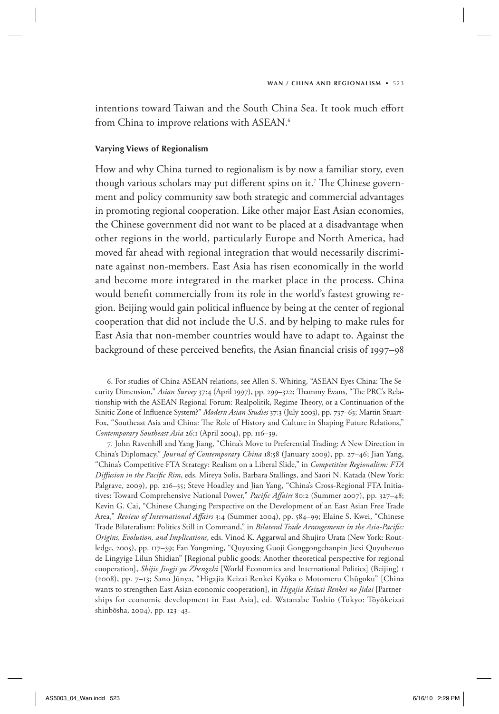intentions toward Taiwan and the South China Sea. It took much effort from China to improve relations with ASEAN.<sup>6</sup>

# **Varying Views of Regionalism**

How and why China turned to regionalism is by now a familiar story, even though various scholars may put different spins on it.<sup>7</sup> The Chinese government and policy community saw both strategic and commercial advantages in promoting regional cooperation. Like other major East Asian economies, the Chinese government did not want to be placed at a disadvantage when other regions in the world, particularly Europe and North America, had moved far ahead with regional integration that would necessarily discriminate against non-members. East Asia has risen economically in the world and become more integrated in the market place in the process. China would benefit commercially from its role in the world's fastest growing region. Beijing would gain political influence by being at the center of regional cooperation that did not include the U.S. and by helping to make rules for East Asia that non-member countries would have to adapt to. Against the background of these perceived benefits, the Asian financial crisis of 1997–98

6. For studies of China-ASEAN relations, see Allen S. Whiting, "ASEAN Eyes China: The Security Dimension," *Asian Survey* 37:4 (April 1997), pp. 299–322; Thammy Evans, "The PRC's Relationship with the ASEAN Regional Forum: Realpolitik, Regime Theory, or a Continuation of the Sinitic Zone of Influence System?" *Modern Asian Studies* 37:3 (July 2003), pp. 737–63; Martin Stuart-Fox, "Southeast Asia and China: The Role of History and Culture in Shaping Future Relations," *Contemporary Southeast Asia* 26:1 (April 2004), pp. 116–39.

7. John Ravenhill and Yang Jiang, "China's Move to Preferential Trading: A New Direction in China's Diplomacy," *Journal of Contemporary China* 18:58 (January 2009), pp. 27–46; Jian Yang, "China's Competitive FTA Strategy: Realism on a Liberal Slide," in *Competitive Regionalism: FTA Diffusion in the Pacific Rim*, eds. Mireya Solis, Barbara Stallings, and Saori N. Katada (New York: Palgrave, 2009), pp. 216-35; Steve Hoadley and Jian Yang, "China's Cross-Regional FTA Initiatives: Toward Comprehensive National Power," *Pacific Affairs* 80:2 (Summer 2007), pp. 327–48; Kevin G. Cai, "Chinese Changing Perspective on the Development of an East Asian Free Trade Area," *Review of International Affairs* 3:4 (Summer 2004), pp. 584–99; Elaine S. Kwei, "Chinese Trade Bilateralism: Politics Still in Command," in *Bilateral Trade Arrangements in the Asia-Pacific: Origins, Evolution, and Implications*, eds. Vinod K. Aggarwal and Shujiro Urata (New York: Routledge, 2005), pp. 117–39; Fan Yongming, "Quyuxing Guoji Gonggongchanpin Jiexi Quyuhezuo de Lingyige Lilun Shidian" [Regional public goods: Another theoretical perspective for regional cooperation], *Shijie Jingji yu Zhengzhi* [World Economics and International Politics] (Beijing) 1 (2008), pp. 7–13; Sano Jūnya, "Higajia Keizai Renkei Kyōka o Motomeru Chūgoku" [China wants to strengthen East Asian economic cooperation], in *Higajia Keizai Renkei no Jidai* [Partnerships for economic development in East Asia], ed. Watanabe Toshio (Tokyo: Tōyōkeizai shinbōsha, 2004), pp. 123–43.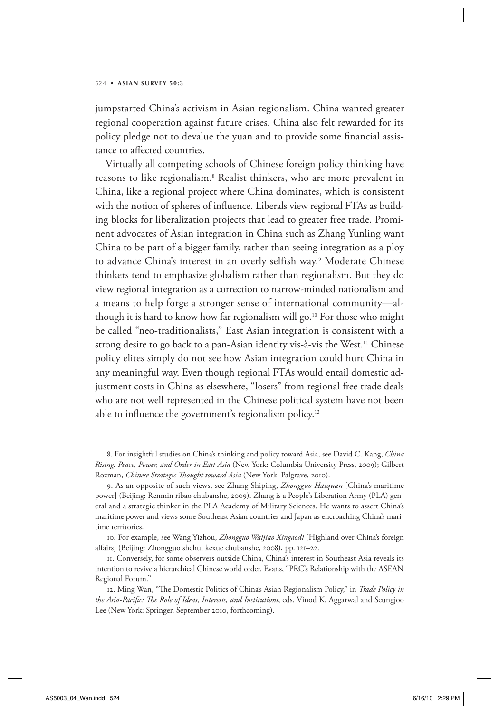jumpstarted China's activism in Asian regionalism. China wanted greater regional cooperation against future crises. China also felt rewarded for its policy pledge not to devalue the yuan and to provide some financial assistance to affected countries.

Virtually all competing schools of Chinese foreign policy thinking have reasons to like regionalism.8 Realist thinkers, who are more prevalent in China, like a regional project where China dominates, which is consistent with the notion of spheres of influence. Liberals view regional FTAs as building blocks for liberalization projects that lead to greater free trade. Prominent advocates of Asian integration in China such as Zhang Yunling want China to be part of a bigger family, rather than seeing integration as a ploy to advance China's interest in an overly selfish way.9 Moderate Chinese thinkers tend to emphasize globalism rather than regionalism. But they do view regional integration as a correction to narrow-minded nationalism and a means to help forge a stronger sense of international community—although it is hard to know how far regionalism will go.10 For those who might be called "neo-traditionalists," East Asian integration is consistent with a strong desire to go back to a pan-Asian identity vis-à-vis the West.<sup>11</sup> Chinese policy elites simply do not see how Asian integration could hurt China in any meaningful way. Even though regional FTAs would entail domestic adjustment costs in China as elsewhere, "losers" from regional free trade deals who are not well represented in the Chinese political system have not been able to influence the government's regionalism policy.<sup>12</sup>

8. For insightful studies on China's thinking and policy toward Asia, see David C. Kang, *China Rising: Peace, Power, and Order in East Asia* (New York: Columbia University Press, 2009); Gilbert Rozman, *Chinese Strategic Thought toward Asia* (New York: Palgrave, 2010).

9. As an opposite of such views, see Zhang Shiping, *Zhongguo Haiquan* [China's maritime power] (Beijing: Renmin ribao chubanshe, 2009). Zhang is a People's Liberation Army (PLA) general and a strategic thinker in the PLA Academy of Military Sciences. He wants to assert China's maritime power and views some Southeast Asian countries and Japan as encroaching China's maritime territories.

10. For example, see Wang Yizhou, *Zhongguo Waijiao Xingaodi* [Highland over China's foreign affairs] (Beijing: Zhongguo shehui kexue chubanshe, 2008), pp. 121–22.

11. Conversely, for some observers outside China, China's interest in Southeast Asia reveals its intention to revive a hierarchical Chinese world order. Evans, "PRC's Relationship with the ASEAN Regional Forum."

12. Ming Wan, "The Domestic Politics of China's Asian Regionalism Policy," in *Trade Policy in the Asia-Pacific: The Role of Ideas, Interests, and Institutions*, eds. Vinod K. Aggarwal and Seungjoo Lee (New York: Springer, September 2010, forthcoming).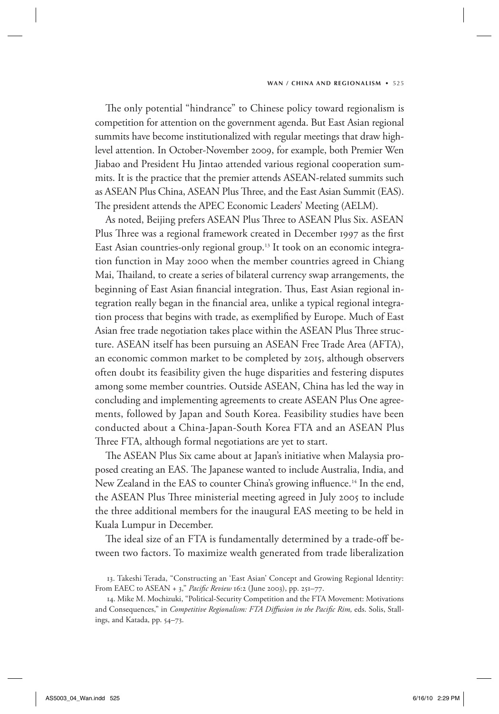The only potential "hindrance" to Chinese policy toward regionalism is competition for attention on the government agenda. But East Asian regional summits have become institutionalized with regular meetings that draw highlevel attention. In October-November 2009, for example, both Premier Wen Jiabao and President Hu Jintao attended various regional cooperation summits. It is the practice that the premier attends ASEAN-related summits such as ASEAN Plus China, ASEAN Plus Three, and the East Asian Summit (EAS). The president attends the APEC Economic Leaders' Meeting (AELM).

As noted, Beijing prefers ASEAN Plus Three to ASEAN Plus Six. ASEAN Plus Three was a regional framework created in December 1997 as the first East Asian countries-only regional group.13 It took on an economic integration function in May 2000 when the member countries agreed in Chiang Mai, Thailand, to create a series of bilateral currency swap arrangements, the beginning of East Asian financial integration. Thus, East Asian regional integration really began in the financial area, unlike a typical regional integration process that begins with trade, as exemplified by Europe. Much of East Asian free trade negotiation takes place within the ASEAN Plus Three structure. ASEAN itself has been pursuing an ASEAN Free Trade Area (AFTA), an economic common market to be completed by 2015, although observers often doubt its feasibility given the huge disparities and festering disputes among some member countries. Outside ASEAN, China has led the way in concluding and implementing agreements to create ASEAN Plus One agreements, followed by Japan and South Korea. Feasibility studies have been conducted about a China-Japan-South Korea FTA and an ASEAN Plus Three FTA, although formal negotiations are yet to start.

The ASEAN Plus Six came about at Japan's initiative when Malaysia proposed creating an EAS. The Japanese wanted to include Australia, India, and New Zealand in the EAS to counter China's growing influence.<sup>14</sup> In the end, the ASEAN Plus Three ministerial meeting agreed in July 2005 to include the three additional members for the inaugural EAS meeting to be held in Kuala Lumpur in December.

The ideal size of an FTA is fundamentally determined by a trade-off between two factors. To maximize wealth generated from trade liberalization

<sup>13.</sup> Takeshi Terada, "Constructing an 'East Asian' Concept and Growing Regional Identity: From EAEC to ASEAN + 3," *Pacific Review* 16:2 (June 2003), pp. 251–77.

<sup>14.</sup> Mike M. Mochizuki, "Political-Security Competition and the FTA Movement: Motivations and Consequences," in *Competitive Regionalism: FTA Diffusion in the Pacific Rim,* eds. Solis, Stallings, and Katada, pp. 54–73.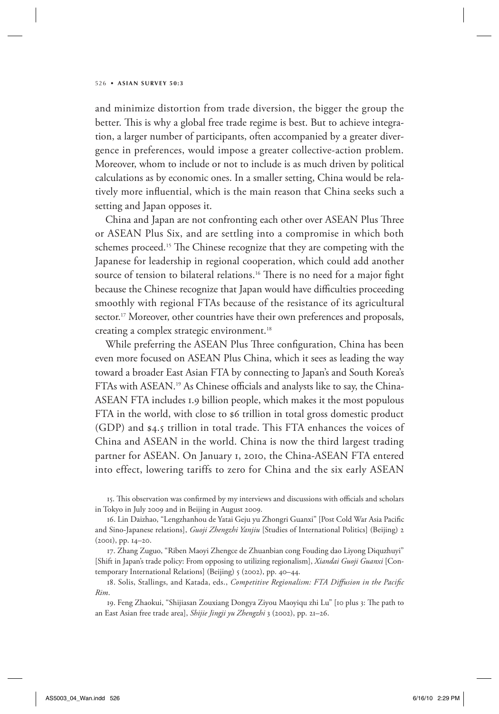and minimize distortion from trade diversion, the bigger the group the better. This is why a global free trade regime is best. But to achieve integration, a larger number of participants, often accompanied by a greater divergence in preferences, would impose a greater collective-action problem. Moreover, whom to include or not to include is as much driven by political calculations as by economic ones. In a smaller setting, China would be relatively more influential, which is the main reason that China seeks such a setting and Japan opposes it.

China and Japan are not confronting each other over ASEAN Plus Three or ASEAN Plus Six, and are settling into a compromise in which both schemes proceed.<sup>15</sup> The Chinese recognize that they are competing with the Japanese for leadership in regional cooperation, which could add another source of tension to bilateral relations.<sup>16</sup> There is no need for a major fight because the Chinese recognize that Japan would have difficulties proceeding smoothly with regional FTAs because of the resistance of its agricultural sector.<sup>17</sup> Moreover, other countries have their own preferences and proposals, creating a complex strategic environment.<sup>18</sup>

While preferring the ASEAN Plus Three configuration, China has been even more focused on ASEAN Plus China, which it sees as leading the way toward a broader East Asian FTA by connecting to Japan's and South Korea's FTAs with ASEAN.19 As Chinese officials and analysts like to say, the China-ASEAN FTA includes 1.9 billion people, which makes it the most populous FTA in the world, with close to \$6 trillion in total gross domestic product (GDP) and \$4.5 trillion in total trade. This FTA enhances the voices of China and ASEAN in the world. China is now the third largest trading partner for ASEAN. On January 1, 2010, the China-ASEAN FTA entered into effect, lowering tariffs to zero for China and the six early ASEAN

15. This observation was confirmed by my interviews and discussions with officials and scholars in Tokyo in July 2009 and in Beijing in August 2009.

16. Lin Daizhao, "Lengzhanhou de Yatai Geju yu Zhongri Guanxi" [Post Cold War Asia Pacific and Sino-Japanese relations], *Guoji Zhengzhi Yanjiu* [Studies of International Politics] (Beijing) 2 (2001), pp. 14–20.

17. Zhang Zuguo, "Riben Maoyi Zhengce de Zhuanbian cong Fouding dao Liyong Diquzhuyi" [Shift in Japan's trade policy: From opposing to utilizing regionalism], *Xiandai Guoji Guanxi* [Contemporary International Relations] (Beijing) 5 (2002), pp. 40–44.

18. Solis, Stallings, and Katada, eds., *Competitive Regionalism: FTA Diffusion in the Pacific Rim*.

19. Feng Zhaokui, "Shijiasan Zouxiang Dongya Ziyou Maoyiqu zhi Lu" [10 plus 3: The path to an East Asian free trade area], *Shijie Jingji yu Zhengzhi* 3 (2002), pp. 21–26.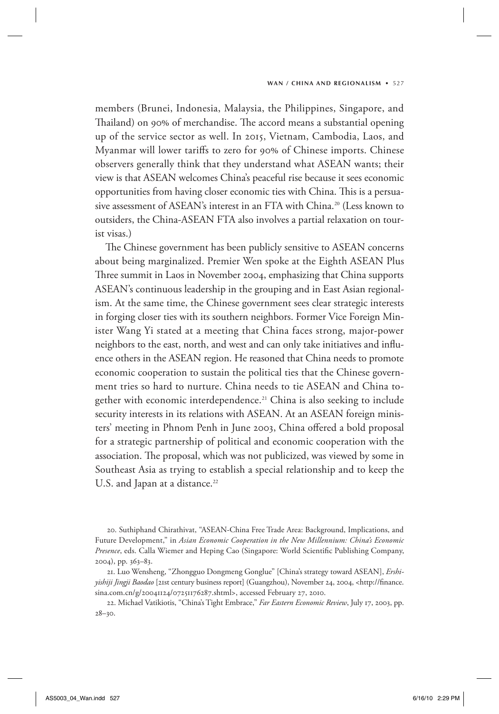members (Brunei, Indonesia, Malaysia, the Philippines, Singapore, and Thailand) on 90% of merchandise. The accord means a substantial opening up of the service sector as well. In 2015, Vietnam, Cambodia, Laos, and Myanmar will lower tariffs to zero for 90% of Chinese imports. Chinese observers generally think that they understand what ASEAN wants; their view is that ASEAN welcomes China's peaceful rise because it sees economic opportunities from having closer economic ties with China. This is a persuasive assessment of ASEAN's interest in an FTA with China.<sup>20</sup> (Less known to outsiders, the China-ASEAN FTA also involves a partial relaxation on tourist visas.)

The Chinese government has been publicly sensitive to ASEAN concerns about being marginalized. Premier Wen spoke at the Eighth ASEAN Plus Three summit in Laos in November 2004, emphasizing that China supports ASEAN's continuous leadership in the grouping and in East Asian regionalism. At the same time, the Chinese government sees clear strategic interests in forging closer ties with its southern neighbors. Former Vice Foreign Minister Wang Yi stated at a meeting that China faces strong, major-power neighbors to the east, north, and west and can only take initiatives and influence others in the ASEAN region. He reasoned that China needs to promote economic cooperation to sustain the political ties that the Chinese government tries so hard to nurture. China needs to tie ASEAN and China together with economic interdependence.<sup>21</sup> China is also seeking to include security interests in its relations with ASEAN. At an ASEAN foreign ministers' meeting in Phnom Penh in June 2003, China offered a bold proposal for a strategic partnership of political and economic cooperation with the association. The proposal, which was not publicized, was viewed by some in Southeast Asia as trying to establish a special relationship and to keep the U.S. and Japan at a distance.<sup>22</sup>

20. Suthiphand Chirathivat, "ASEAN-China Free Trade Area: Background, Implications, and Future Development," in *Asian Economic Cooperation in the New Millennium: China's Economic Presence*, eds. Calla Wiemer and Heping Cao (Singapore: World Scientific Publishing Company, 2004), pp. 363–83.

21. Luo Wensheng, "Zhongguo Dongmeng Gonglue" [China's strategy toward ASEAN], *Ershiyishiji Jingji Baodao* [21st century business report] (Guangzhou), November 24, 2004, <http://finance. sina.com.cn/g/20041124/07251176287.shtml>, accessed February 27, 2010.

22. Michael Vatikiotis, "China's Tight Embrace," *Far Eastern Economic Review*, July 17, 2003, pp. 28–30.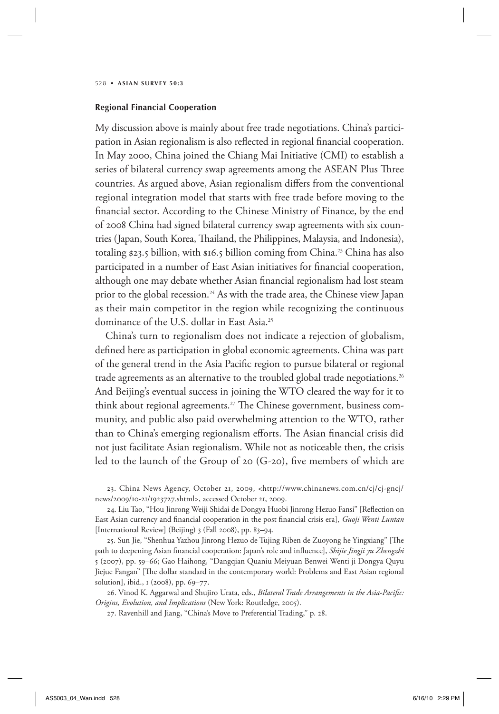#### **Regional Financial Cooperation**

My discussion above is mainly about free trade negotiations. China's participation in Asian regionalism is also reflected in regional financial cooperation. In May 2000, China joined the Chiang Mai Initiative (CMI) to establish a series of bilateral currency swap agreements among the ASEAN Plus Three countries. As argued above, Asian regionalism differs from the conventional regional integration model that starts with free trade before moving to the financial sector. According to the Chinese Ministry of Finance, by the end of 2008 China had signed bilateral currency swap agreements with six countries (Japan, South Korea, Thailand, the Philippines, Malaysia, and Indonesia), totaling \$23.5 billion, with \$16.5 billion coming from China.23 China has also participated in a number of East Asian initiatives for financial cooperation, although one may debate whether Asian financial regionalism had lost steam prior to the global recession.<sup>24</sup> As with the trade area, the Chinese view Japan as their main competitor in the region while recognizing the continuous dominance of the U.S. dollar in East Asia.25

China's turn to regionalism does not indicate a rejection of globalism, defined here as participation in global economic agreements. China was part of the general trend in the Asia Pacific region to pursue bilateral or regional trade agreements as an alternative to the troubled global trade negotiations.<sup>26</sup> And Beijing's eventual success in joining the WTO cleared the way for it to think about regional agreements.<sup>27</sup> The Chinese government, business community, and public also paid overwhelming attention to the WTO, rather than to China's emerging regionalism efforts. The Asian financial crisis did not just facilitate Asian regionalism. While not as noticeable then, the crisis led to the launch of the Group of 20 (G-20), five members of which are

23. China News Agency, October 21, 2009, <http://www.chinanews.com.cn/cj/cj-gncj/ news/2009/10-21/1923727.shtml>, accessed October 21, 2009.

24. Liu Tao, "Hou Jinrong Weiji Shidai de Dongya Huobi Jinrong Hezuo Fansi" [Reflection on East Asian currency and financial cooperation in the post financial crisis era], *Guoji Wenti Luntan* [International Review] (Beijing) 3 (Fall 2008), pp. 83-94.

25. Sun Jie, "Shenhua Yazhou Jinrong Hezuo de Tujing Riben de Zuoyong he Yingxiang" [The path to deepening Asian financial cooperation: Japan's role and influence], *Shijie Jingji yu Zhengzhi* 5 (2007), pp. 59–66; Gao Haihong, "Dangqian Quaniu Meiyuan Benwei Wenti ji Dongya Quyu Jiejue Fangan" [The dollar standard in the contemporary world: Problems and East Asian regional solution], ibid., 1 (2008), pp. 69–77.

26. Vinod K. Aggarwal and Shujiro Urata, eds., *Bilateral Trade Arrangements in the Asia-Pacific: Origins, Evolution, and Implications* (New York: Routledge, 2005).

27. Ravenhill and Jiang, "China's Move to Preferential Trading," p. 28.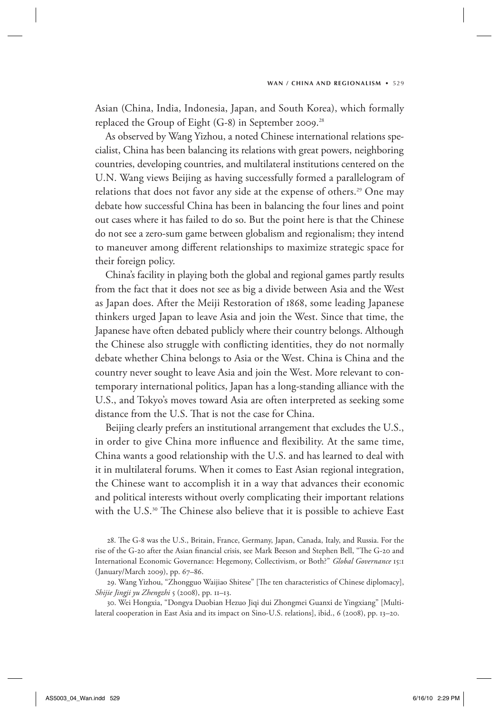Asian (China, India, Indonesia, Japan, and South Korea), which formally replaced the Group of Eight (G-8) in September 2009.<sup>28</sup>

As observed by Wang Yizhou, a noted Chinese international relations specialist, China has been balancing its relations with great powers, neighboring countries, developing countries, and multilateral institutions centered on the U.N. Wang views Beijing as having successfully formed a parallelogram of relations that does not favor any side at the expense of others.<sup>29</sup> One may debate how successful China has been in balancing the four lines and point out cases where it has failed to do so. But the point here is that the Chinese do not see a zero-sum game between globalism and regionalism; they intend to maneuver among different relationships to maximize strategic space for their foreign policy.

China's facility in playing both the global and regional games partly results from the fact that it does not see as big a divide between Asia and the West as Japan does. After the Meiji Restoration of 1868, some leading Japanese thinkers urged Japan to leave Asia and join the West. Since that time, the Japanese have often debated publicly where their country belongs. Although the Chinese also struggle with conflicting identities, they do not normally debate whether China belongs to Asia or the West. China is China and the country never sought to leave Asia and join the West. More relevant to contemporary international politics, Japan has a long-standing alliance with the U.S., and Tokyo's moves toward Asia are often interpreted as seeking some distance from the U.S. That is not the case for China.

Beijing clearly prefers an institutional arrangement that excludes the U.S., in order to give China more influence and flexibility. At the same time, China wants a good relationship with the U.S. and has learned to deal with it in multilateral forums. When it comes to East Asian regional integration, the Chinese want to accomplish it in a way that advances their economic and political interests without overly complicating their important relations with the U.S.<sup>30</sup> The Chinese also believe that it is possible to achieve East

28. The G-8 was the U.S., Britain, France, Germany, Japan, Canada, Italy, and Russia. For the rise of the G-20 after the Asian financial crisis, see Mark Beeson and Stephen Bell, "The G-20 and International Economic Governance: Hegemony, Collectivism, or Both?" *Global Governance* 15:1 (January/March 2009), pp. 67–86.

29. Wang Yizhou, "Zhongguo Waijiao Shitese" [The ten characteristics of Chinese diplomacy], *Shijie Jingji yu Zhengzhi* 5 (2008), pp. 11–13.

30. Wei Hongxia, "Dongya Duobian Hezuo Jiqi dui Zhongmei Guanxi de Yingxiang" [Multilateral cooperation in East Asia and its impact on Sino-U.S. relations], ibid., 6 (2008), pp. 13–20.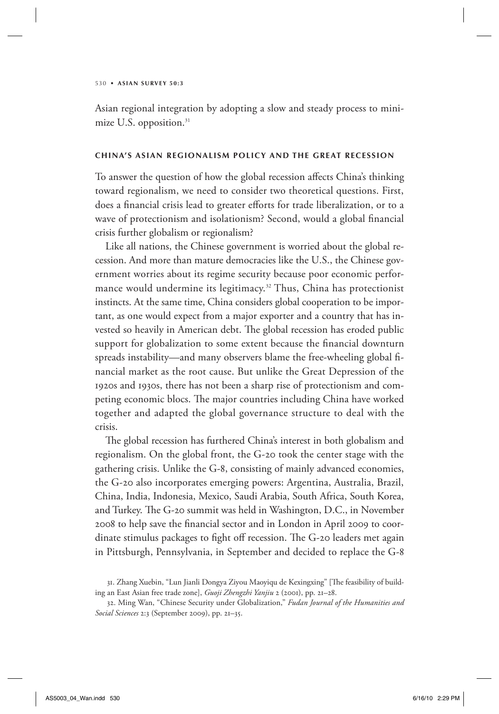Asian regional integration by adopting a slow and steady process to minimize U.S. opposition.<sup>31</sup>

#### **CHINA'S ASIAN REGIONALISM POLICY AND THE GREAT RECESSION**

To answer the question of how the global recession affects China's thinking toward regionalism, we need to consider two theoretical questions. First, does a financial crisis lead to greater efforts for trade liberalization, or to a wave of protectionism and isolationism? Second, would a global financial crisis further globalism or regionalism?

Like all nations, the Chinese government is worried about the global recession. And more than mature democracies like the U.S., the Chinese government worries about its regime security because poor economic performance would undermine its legitimacy.<sup>32</sup> Thus, China has protectionist instincts. At the same time, China considers global cooperation to be important, as one would expect from a major exporter and a country that has invested so heavily in American debt. The global recession has eroded public support for globalization to some extent because the financial downturn spreads instability—and many observers blame the free-wheeling global financial market as the root cause. But unlike the Great Depression of the 1920s and 1930s, there has not been a sharp rise of protectionism and competing economic blocs. The major countries including China have worked together and adapted the global governance structure to deal with the crisis.

The global recession has furthered China's interest in both globalism and regionalism. On the global front, the G-20 took the center stage with the gathering crisis. Unlike the G-8, consisting of mainly advanced economies, the G-20 also incorporates emerging powers: Argentina, Australia, Brazil, China, India, Indonesia, Mexico, Saudi Arabia, South Africa, South Korea, and Turkey. The G-20 summit was held in Washington, D.C., in November 2008 to help save the financial sector and in London in April 2009 to coordinate stimulus packages to fight off recession. The G-20 leaders met again in Pittsburgh, Pennsylvania, in September and decided to replace the G-8

<sup>31.</sup> Zhang Xuebin, "Lun Jianli Dongya Ziyou Maoyiqu de Kexingxing" [The feasibility of building an East Asian free trade zone], *Guoji Zhengzhi Yanjiu* 2 (2001), pp. 21–28.

<sup>32.</sup> Ming Wan, "Chinese Security under Globalization," *Fudan Journal of the Humanities and Social Sciences* 2:3 (September 2009), pp. 21–35.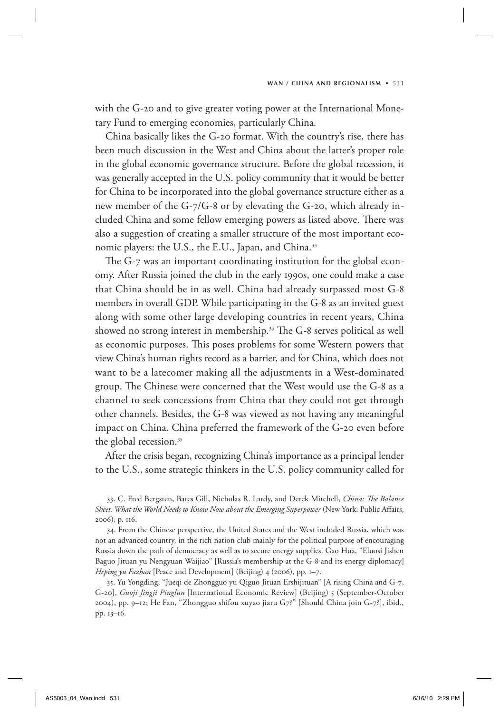with the G-20 and to give greater voting power at the International Monetary Fund to emerging economies, particularly China.

China basically likes the G-20 format. With the country's rise, there has been much discussion in the West and China about the latter's proper role in the global economic governance structure. Before the global recession, it was generally accepted in the U.S. policy community that it would be better for China to be incorporated into the global governance structure either as a new member of the G-7/G-8 or by elevating the G-20, which already included China and some fellow emerging powers as listed above. There was also a suggestion of creating a smaller structure of the most important economic players: the U.S., the E.U., Japan, and China.<sup>33</sup>

The G-7 was an important coordinating institution for the global economy. After Russia joined the club in the early 1990s, one could make a case that China should be in as well. China had already surpassed most G-8 members in overall GDP. While participating in the G-8 as an invited guest along with some other large developing countries in recent years, China showed no strong interest in membership.<sup>34</sup> The G-8 serves political as well as economic purposes. This poses problems for some Western powers that view China's human rights record as a barrier, and for China, which does not want to be a latecomer making all the adjustments in a West-dominated group. The Chinese were concerned that the West would use the G-8 as a channel to seek concessions from China that they could not get through other channels. Besides, the G-8 was viewed as not having any meaningful impact on China. China preferred the framework of the G-20 even before the global recession.<sup>35</sup>

After the crisis began, recognizing China's importance as a principal lender to the U.S., some strategic thinkers in the U.S. policy community called for

33. C. Fred Bergsten, Bates Gill, Nicholas R. Lardy, and Derek Mitchell, *China: The Balance Sheet: What the World Needs to Know Now about the Emerging Superpower* (New York: Public Affairs, 2006), p. 116.

34. From the Chinese perspective, the United States and the West included Russia, which was not an advanced country, in the rich nation club mainly for the political purpose of encouraging Russia down the path of democracy as well as to secure energy supplies. Gao Hua, "Eluosi Jishen Baguo Jituan yu Nengyuan Waijiao" [Russia's membership at the G-8 and its energy diplomacy] *Heping yu Fazhan* [Peace and Development] (Beijing) 4 (2006), pp. 1–7.

35. Yu Yongding, "Jueqi de Zhongguo yu Qiguo Jituan Ershijituan" [A rising China and G-7, G-20], *Guoji Jingji Pinglun* [International Economic Review] (Beijing) 5 (September-October 2004), pp. 9–12; He Fan, "Zhongguo shifou xuyao jiaru G7?" [Should China join G-7?], ibid., pp. 13–16.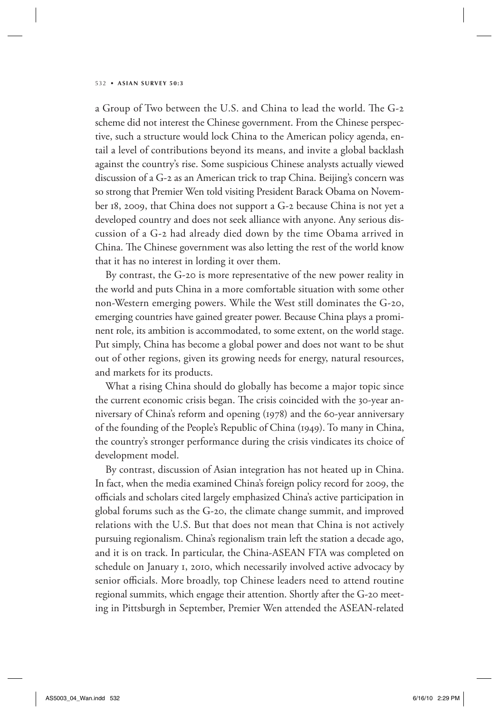a Group of Two between the U.S. and China to lead the world. The G-2 scheme did not interest the Chinese government. From the Chinese perspective, such a structure would lock China to the American policy agenda, entail a level of contributions beyond its means, and invite a global backlash against the country's rise. Some suspicious Chinese analysts actually viewed discussion of a G-2 as an American trick to trap China. Beijing's concern was so strong that Premier Wen told visiting President Barack Obama on November 18, 2009, that China does not support a G-2 because China is not yet a developed country and does not seek alliance with anyone. Any serious discussion of a G-2 had already died down by the time Obama arrived in China. The Chinese government was also letting the rest of the world know that it has no interest in lording it over them.

By contrast, the G-20 is more representative of the new power reality in the world and puts China in a more comfortable situation with some other non-Western emerging powers. While the West still dominates the G-20, emerging countries have gained greater power. Because China plays a prominent role, its ambition is accommodated, to some extent, on the world stage. Put simply, China has become a global power and does not want to be shut out of other regions, given its growing needs for energy, natural resources, and markets for its products.

What a rising China should do globally has become a major topic since the current economic crisis began. The crisis coincided with the 30-year anniversary of China's reform and opening (1978) and the 60-year anniversary of the founding of the People's Republic of China (1949). To many in China, the country's stronger performance during the crisis vindicates its choice of development model.

By contrast, discussion of Asian integration has not heated up in China. In fact, when the media examined China's foreign policy record for 2009, the officials and scholars cited largely emphasized China's active participation in global forums such as the G-20, the climate change summit, and improved relations with the U.S. But that does not mean that China is not actively pursuing regionalism. China's regionalism train left the station a decade ago, and it is on track. In particular, the China-ASEAN FTA was completed on schedule on January 1, 2010, which necessarily involved active advocacy by senior officials. More broadly, top Chinese leaders need to attend routine regional summits, which engage their attention. Shortly after the G-20 meeting in Pittsburgh in September, Premier Wen attended the ASEAN-related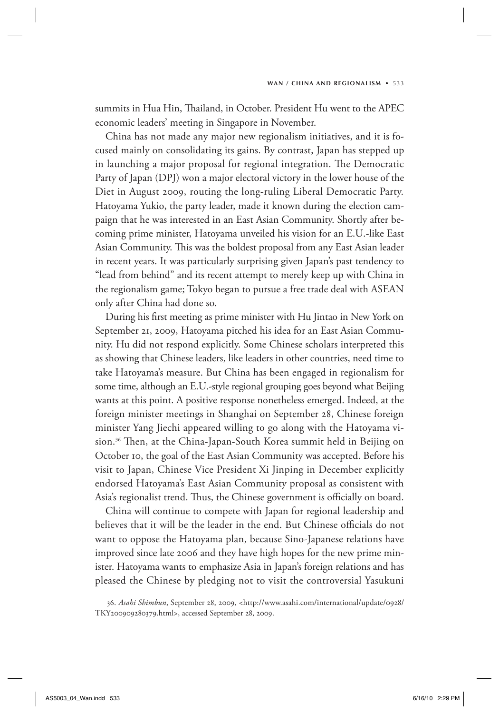summits in Hua Hin, Thailand, in October. President Hu went to the APEC economic leaders' meeting in Singapore in November.

China has not made any major new regionalism initiatives, and it is focused mainly on consolidating its gains. By contrast, Japan has stepped up in launching a major proposal for regional integration. The Democratic Party of Japan (DPJ) won a major electoral victory in the lower house of the Diet in August 2009, routing the long-ruling Liberal Democratic Party. Hatoyama Yukio, the party leader, made it known during the election campaign that he was interested in an East Asian Community. Shortly after becoming prime minister, Hatoyama unveiled his vision for an E.U.-like East Asian Community. This was the boldest proposal from any East Asian leader in recent years. It was particularly surprising given Japan's past tendency to "lead from behind" and its recent attempt to merely keep up with China in the regionalism game; Tokyo began to pursue a free trade deal with ASEAN only after China had done so.

During his first meeting as prime minister with Hu Jintao in New York on September 21, 2009, Hatoyama pitched his idea for an East Asian Community. Hu did not respond explicitly. Some Chinese scholars interpreted this as showing that Chinese leaders, like leaders in other countries, need time to take Hatoyama's measure. But China has been engaged in regionalism for some time, although an E.U.-style regional grouping goes beyond what Beijing wants at this point. A positive response nonetheless emerged. Indeed, at the foreign minister meetings in Shanghai on September 28, Chinese foreign minister Yang Jiechi appeared willing to go along with the Hatoyama vision.<sup>36</sup> Then, at the China-Japan-South Korea summit held in Beijing on October 10, the goal of the East Asian Community was accepted. Before his visit to Japan, Chinese Vice President Xi Jinping in December explicitly endorsed Hatoyama's East Asian Community proposal as consistent with Asia's regionalist trend. Thus, the Chinese government is officially on board.

China will continue to compete with Japan for regional leadership and believes that it will be the leader in the end. But Chinese officials do not want to oppose the Hatoyama plan, because Sino-Japanese relations have improved since late 2006 and they have high hopes for the new prime minister. Hatoyama wants to emphasize Asia in Japan's foreign relations and has pleased the Chinese by pledging not to visit the controversial Yasukuni

36. *Asahi Shimbun*, September 28, 2009, <http://www.asahi.com/international/update/0928/ TKY200909280379.html>, accessed September 28, 2009.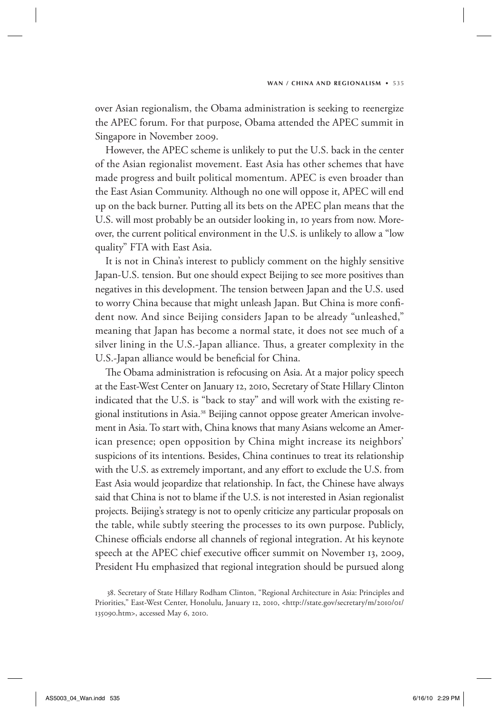over Asian regionalism, the Obama administration is seeking to reenergize the APEC forum. For that purpose, Obama attended the APEC summit in Singapore in November 2009.

However, the APEC scheme is unlikely to put the U.S. back in the center of the Asian regionalist movement. East Asia has other schemes that have made progress and built political momentum. APEC is even broader than the East Asian Community. Although no one will oppose it, APEC will end up on the back burner. Putting all its bets on the APEC plan means that the U.S. will most probably be an outsider looking in, 10 years from now. Moreover, the current political environment in the U.S. is unlikely to allow a "low quality" FTA with East Asia.

It is not in China's interest to publicly comment on the highly sensitive Japan-U.S. tension. But one should expect Beijing to see more positives than negatives in this development. The tension between Japan and the U.S. used to worry China because that might unleash Japan. But China is more confident now. And since Beijing considers Japan to be already "unleashed," meaning that Japan has become a normal state, it does not see much of a silver lining in the U.S.-Japan alliance. Thus, a greater complexity in the U.S.-Japan alliance would be beneficial for China.

The Obama administration is refocusing on Asia. At a major policy speech at the East-West Center on January 12, 2010, Secretary of State Hillary Clinton indicated that the U.S. is "back to stay" and will work with the existing regional institutions in Asia.<sup>38</sup> Beijing cannot oppose greater American involvement in Asia. To start with, China knows that many Asians welcome an American presence; open opposition by China might increase its neighbors' suspicions of its intentions. Besides, China continues to treat its relationship with the U.S. as extremely important, and any effort to exclude the U.S. from East Asia would jeopardize that relationship. In fact, the Chinese have always said that China is not to blame if the U.S. is not interested in Asian regionalist projects. Beijing's strategy is not to openly criticize any particular proposals on the table, while subtly steering the processes to its own purpose. Publicly, Chinese officials endorse all channels of regional integration. At his keynote speech at the APEC chief executive officer summit on November 13, 2009, President Hu emphasized that regional integration should be pursued along

<sup>38.</sup> Secretary of State Hillary Rodham Clinton, "Regional Architecture in Asia: Principles and Priorities," East-West Center, Honolulu, January 12, 2010, <http://state.gov/secretary/m/2010/01/ 135090.htm>, accessed May 6, 2010.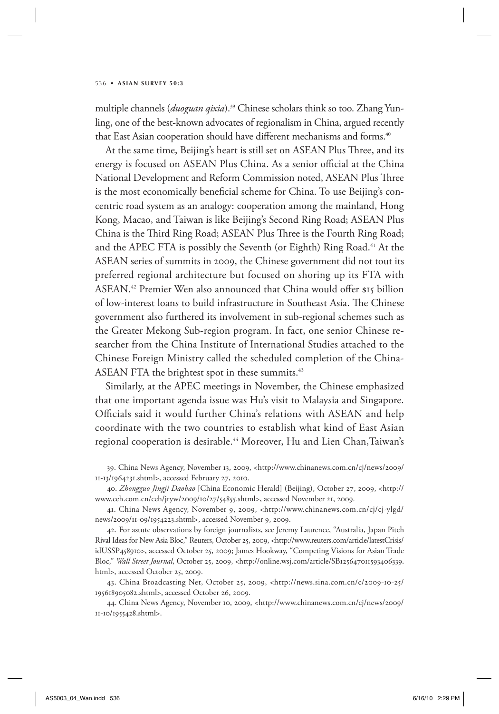multiple channels (*duoguan qixia*).39 Chinese scholars think so too. Zhang Yunling, one of the best-known advocates of regionalism in China, argued recently that East Asian cooperation should have different mechanisms and forms.<sup>40</sup>

At the same time, Beijing's heart is still set on ASEAN Plus Three, and its energy is focused on ASEAN Plus China. As a senior official at the China National Development and Reform Commission noted, ASEAN Plus Three is the most economically beneficial scheme for China. To use Beijing's concentric road system as an analogy: cooperation among the mainland, Hong Kong, Macao, and Taiwan is like Beijing's Second Ring Road; ASEAN Plus China is the Third Ring Road; ASEAN Plus Three is the Fourth Ring Road; and the APEC FTA is possibly the Seventh (or Eighth) Ring Road.<sup>41</sup> At the ASEAN series of summits in 2009, the Chinese government did not tout its preferred regional architecture but focused on shoring up its FTA with ASEAN.42 Premier Wen also announced that China would offer \$15 billion of low-interest loans to build infrastructure in Southeast Asia. The Chinese government also furthered its involvement in sub-regional schemes such as the Greater Mekong Sub-region program. In fact, one senior Chinese researcher from the China Institute of International Studies attached to the Chinese Foreign Ministry called the scheduled completion of the China-ASEAN FTA the brightest spot in these summits.<sup>43</sup>

Similarly, at the APEC meetings in November, the Chinese emphasized that one important agenda issue was Hu's visit to Malaysia and Singapore. Officials said it would further China's relations with ASEAN and help coordinate with the two countries to establish what kind of East Asian regional cooperation is desirable.<sup>44</sup> Moreover, Hu and Lien Chan, Taiwan's

39. China News Agency, November 13, 2009, <http://www.chinanews.com.cn/cj/news/2009/ 11-13/1964231.shtml>, accessed February 27, 2010.

40. *Zhongguo Jingji Daobao* [China Economic Herald] (Beijing), October 27, 2009, <http:// www.ceh.com.cn/ceh/jryw/2009/10/27/54855.shtml>, accessed November 21, 2009.

41. China News Agency, November 9, 2009, <http://www.chinanews.com.cn/cj/cj-ylgd/ news/2009/11-09/1954223.shtml>, accessed November 9, 2009.

42. For astute observations by foreign journalists, see [Jeremy Laurence](http://blogs.reuters.com/search/journalist.php?edition=us&n=jeremy.laurence&), "Australia, Japan Pitch Rival Ideas for New Asia Bloc," Reuters, October 25, 2009, <http://www.reuters.com/article/latestCrisis/ idUSSP458910>, accessed October 25, 2009; James Hookway, "Competing Visions for Asian Trade Bloc," *Wall Street Journal*, October 25, 2009, <http://online.wsj.com/article/SB125647011593406339. html>, accessed October 25, 2009.

43. China Broadcasting Net, October 25, 2009, <http://news.sina.com.cn/c/2009-10-25/ 195618905082.shtml>, accessed October 26, 2009.

44. China News Agency, November 10, 2009, <http://www.chinanews.com.cn/cj/news/2009/ 11-10/1955428.shtml>.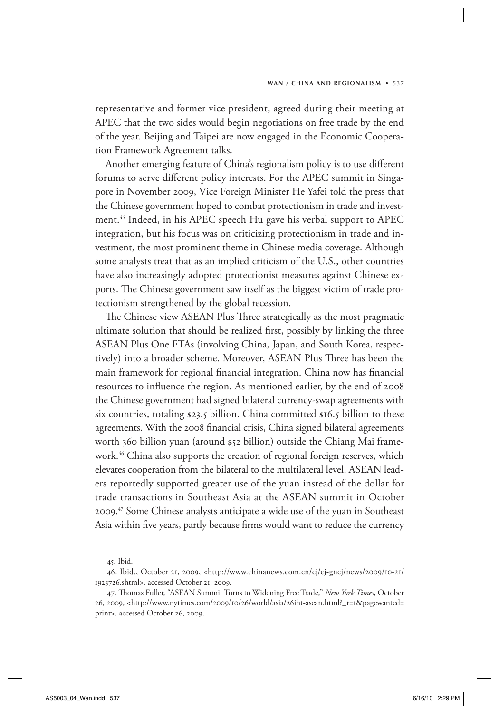representative and former vice president, agreed during their meeting at APEC that the two sides would begin negotiations on free trade by the end of the year. Beijing and Taipei are now engaged in the Economic Cooperation Framework Agreement talks.

Another emerging feature of China's regionalism policy is to use different forums to serve different policy interests. For the APEC summit in Singapore in November 2009, Vice Foreign Minister He Yafei told the press that the Chinese government hoped to combat protectionism in trade and investment.45 Indeed, in his APEC speech Hu gave his verbal support to APEC integration, but his focus was on criticizing protectionism in trade and investment, the most prominent theme in Chinese media coverage. Although some analysts treat that as an implied criticism of the U.S., other countries have also increasingly adopted protectionist measures against Chinese exports. The Chinese government saw itself as the biggest victim of trade protectionism strengthened by the global recession.

The Chinese view ASEAN Plus Three strategically as the most pragmatic ultimate solution that should be realized first, possibly by linking the three ASEAN Plus One FTAs (involving China, Japan, and South Korea, respectively) into a broader scheme. Moreover, ASEAN Plus Three has been the main framework for regional financial integration. China now has financial resources to influence the region. As mentioned earlier, by the end of 2008 the Chinese government had signed bilateral currency-swap agreements with six countries, totaling \$23.5 billion. China committed \$16.5 billion to these agreements. With the 2008 financial crisis, China signed bilateral agreements worth 360 billion yuan (around \$52 billion) outside the Chiang Mai framework.46 China also supports the creation of regional foreign reserves, which elevates cooperation from the bilateral to the multilateral level. ASEAN leaders reportedly supported greater use of the yuan instead of the dollar for trade transactions in Southeast Asia at the ASEAN summit in October 2009.47 Some Chinese analysts anticipate a wide use of the yuan in Southeast Asia within five years, partly because firms would want to reduce the currency

<sup>45.</sup> Ibid.

<sup>46.</sup> Ibid., October 21, 2009, <http://www.chinanews.com.cn/cj/cj-gncj/news/2009/10-21/ 1923726.shtml>, accessed October 21, 2009.

<sup>47.</sup> Thomas Fuller, "ASEAN Summit Turns to Widening Free Trade," *New York Times*, October 26, 2009, <http://www.nytimes.com/2009/10/26/world/asia/26iht-asean.html?\_r=1&pagewanted= print>, accessed October 26, 2009.